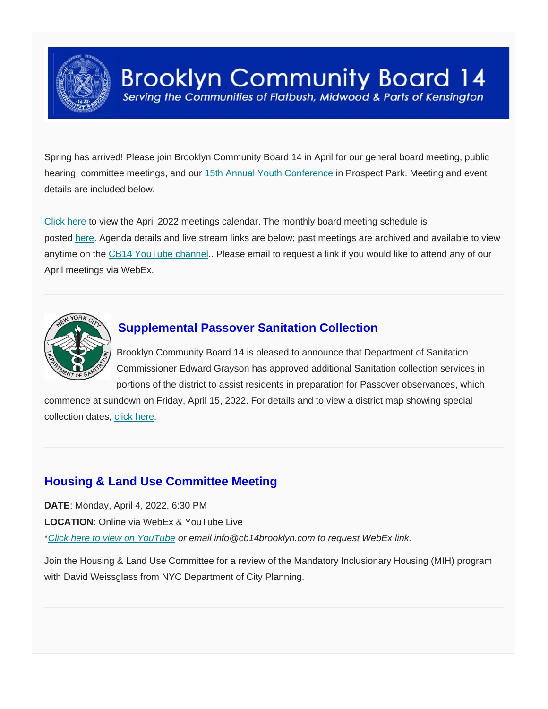

Spring has arrived! Please join Brooklyn Community Board 14 in April for our general board meeting, public hearing, committee meetings, and our [15th Annual Youth Conference](https://www.cb14youthconference.nyc/) in Prospect Park. Meeting and event details are included below.

[Click here](https://www.cb14brooklyn.com/april-2022-meetings/) to view the April 2022 meetings calendar. The monthly board meeting schedule is posted [here.](https://www.cb14brooklyn.com/fy-2021-22-cb14-monthly-meeting-dates/) Agenda details and live stream links are below; past meetings are archived and available to view anytime on the [CB14 YouTube channel](https://www.youtube.com/channel/UC_BAkpXTYFoKdHVRvswVgtg).. Please email to request a link if you would like to attend any of our April meetings via WebEx.



# **Supplemental Passover Sanitation Collection**

 Brooklyn Community Board 14 is pleased to announce that Department of Sanitation Commissioner Edward Grayson has approved additional Sanitation collection services in portions of the district to assist residents in preparation for Passover observances, which

commence at sundown on Friday, April 15, 2022. For details and to view a district map showing special collection dates, click [here.](https://www.cb14brooklyn.com/wp-content/uploads/2022/03/Passover-Collection-2022-Letter-and-Map.pdf)

# **Housing & Land Use Committee Meeting**

**DATE**: Monday, April 4, 2022, 6:30 PM **LOCATION**: Online via WebEx & YouTube Live \**[Click here to view on YouTube](https://youtu.be/MENZuRh33PA) or email info@cb14brooklyn.com to request WebEx link.*

Join the Housing & Land Use Committee for a review of the Mandatory Inclusionary Housing (MIH) program with David Weissglass from NYC Department of City Planning.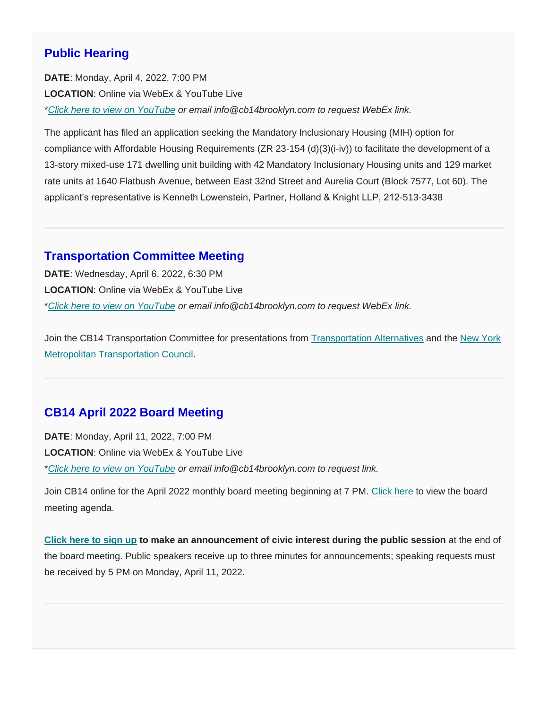#### **Public Hearing**

**DATE**: Monday, April 4, 2022, 7:00 PM **LOCATION**: Online via WebEx & YouTube Live \**[Click here to view on YouTube](https://youtu.be/MENZuRh33PA) or email info@cb14brooklyn.com to request WebEx link.*

The applicant has filed an application seeking the Mandatory Inclusionary Housing (MIH) option for compliance with Affordable Housing Requirements (ZR 23-154 (d)(3)(i-iv)) to facilitate the development of a 13-story mixed-use 171 dwelling unit building with 42 Mandatory Inclusionary Housing units and 129 market rate units at 1640 Flatbush Avenue, between East 32nd Street and Aurelia Court (Block 7577, Lot 60). The applicant's representative is Kenneth Lowenstein, Partner, Holland & Knight LLP, 212-513-3438

#### **Transportation Committee Meeting**

**DATE**: Wednesday, April 6, 2022, 6:30 PM **LOCATION**: Online via WebEx & YouTube Live \**[Click here to view on YouTube](https://youtu.be/AxmiBW1qdUA) or email info@cb14brooklyn.com to request WebEx link.*

Join the CB14 Transportation Committee for presentations from [Transportation Alternatives](https://www.transalt.org/) and the [New York](https://www.nymtc.org/)  [Metropolitan Transportation Council.](https://www.nymtc.org/)

### **CB14 April 2022 Board Meeting**

**DATE**: Monday, April 11, 2022, 7:00 PM **LOCATION**: Online via WebEx & YouTube Live \**[Click here to view on YouTube](https://youtu.be/4gyEwQiVaOw) or email info@cb14brooklyn.com to request link.*

Join CB14 online for the April 2022 monthly board meeting beginning at 7 PM. [Click here](https://www.cb14brooklyn.com/april-board-meeting/) to view the board meeting agenda.

**[Click here to sign up](https://docs.google.com/forms/d/e/1FAIpQLSdn19tUWU8R5ITee17eTNtcid9T6PKl_G52Pt6Kq3av0KDPOA/viewform) to make an announcement of civic interest during the public session** at the end of the board meeting. Public speakers receive up to three minutes for announcements; speaking requests must be received by 5 PM on Monday, April 11, 2022.